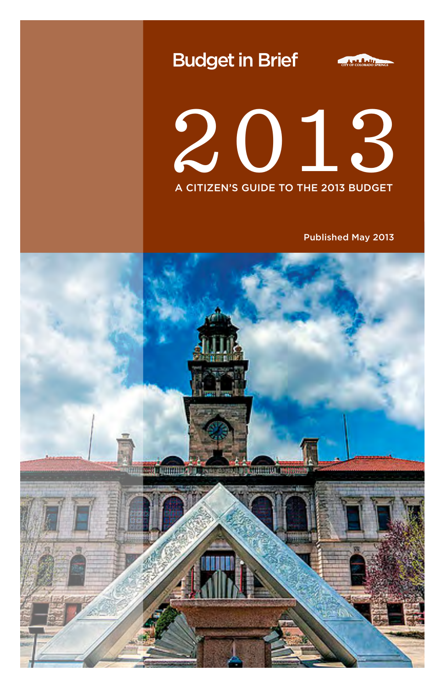





Published May 2013

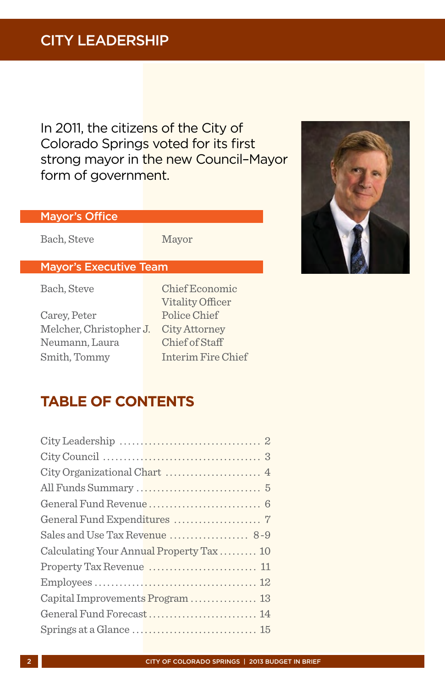# CITY LEADERSHIP

In 2011, the citizens of the City of Colorado Springs voted for its first strong mayor in the new Council-Mayor form of government.

## Mayor's Office

Bach, Steve Mayor

## Mayor's Executive Team

Carey, Peter Police Chief Melcher, Christopher J. City Attorney Neumann, Laura Chief of Staff Smith, Tommy Interim Fire Chief

Bach, Steve Chief Economic Vitality Officer

# **TABLE OF CONTENTS**

| General Fund Expenditures  7            |
|-----------------------------------------|
| Sales and Use Tax Revenue  8-9          |
| Calculating Your Annual Property Tax 10 |
|                                         |
|                                         |
| Capital Improvements Program 13         |
| General Fund Forecast 14                |
|                                         |
|                                         |



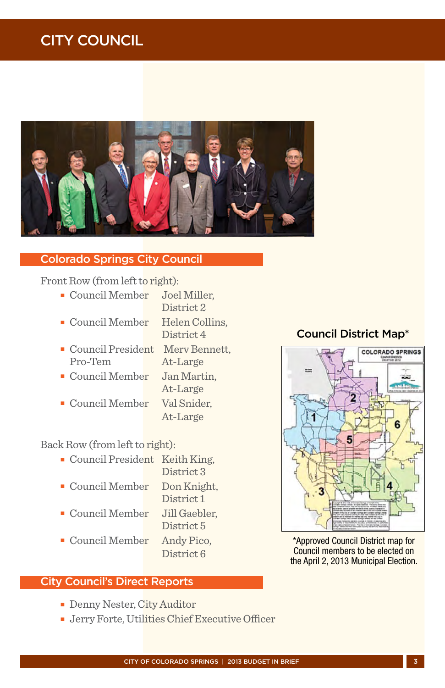# CITY COUNCIL



#### Colorado Springs City Council

Front Row (from left to right):

- <sup>n</sup> Council Member Joel Miller, District 2
- **EXECUTE:** Council Member Helen Collins,
	- District 4
- **Exercise Council President Merv Bennett,**<br>Pro-Tem At-Large At-Large
- **EXECUTE:** Council Member Jan Martin,
- **Council Member Val Snider,** 
	- At-Large

At-Large

Back Row (from left to right):

- **EXECUTE:** Council President Keith King,
- District 3 <sup>n</sup> Council Member Don Knight,
	- District 1
- <sup>n</sup> Council Member Jill Gaebler,
	- District 5
- **Council Member Andy Pico,**

# District 6

### City Council's Direct Reports

- **Denny Nester, City Auditor**
- **F** Jerry Forte, Utilities Chief Executive Officer

## Council District Map\*



\*Approved Council District map for Council members to be elected on the April 2, 2013 Municipal Election.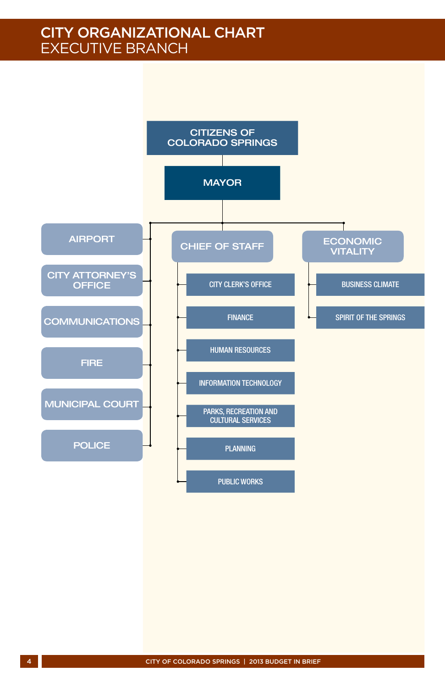# City Organizational Chart Executive Branch

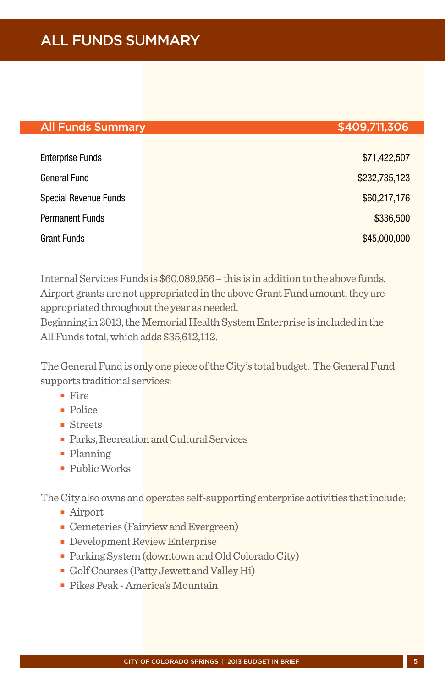# ALL FUNDS SUMMARY

#### All Funds Summary \$409,711,306

# Enterprise Funds \$71,422,507 General Fund \$232,735,123 Special Revenue Funds **\$60,217,176** Permanent Funds \$336,500 and \$336,500 and \$336,500 and \$336,500 and \$336,500 and \$336,500 and \$336,500 and \$336,500 and \$336,500 and \$336,500 and \$336,500 and \$336,500 and \$336,500 and \$336,500 and \$336,500 and \$336,500 an Grant Funds \$45,000,000

Internal Services Funds is \$60,089,956 – this is in addition to the above funds. Airport grants are not appropriated in the above Grant Fund amount, they are appropriated throughout the year as needed.

Beginning in 2013, the Memorial Health System Enterprise is included in the All Funds total, which adds \$35,612,112.

The General Fund is only one piece of the City's total budget. The General Fund supports traditional services:

- $Fira$
- $\blacksquare$  Police
- $\blacksquare$  Streets
- **Parks, Recreation and Cultural Services**
- Planning
- <sup>n</sup> Public Works

The City also owns and operates self-supporting enterprise activities that include:

- Airport
- **n** Cemeteries (Fairview and Evergreen)
- **Development Review Enterprise**
- Parking System (downtown and Old Colorado City)
- <sup>n</sup> Golf Courses (Patty Jewett and Valley Hi)
- <sup>n</sup> Pikes Peak America's Mountain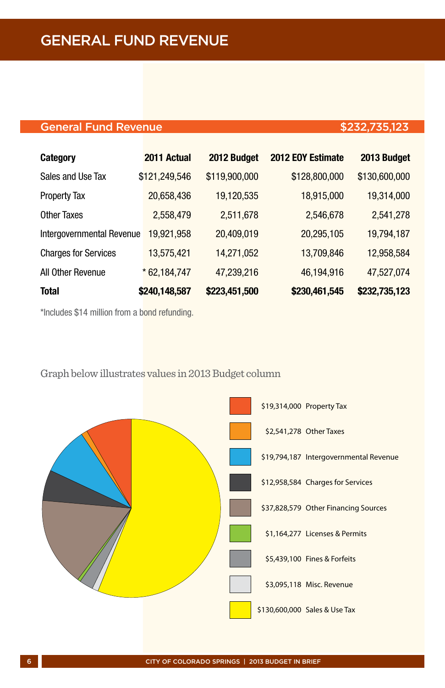## General Fund Revenue **\$232,735,123**

| <b>Category</b>             | 2011 Actual   | 2012 Budget   | 2012 EOY Estimate | 2013 Budget   |
|-----------------------------|---------------|---------------|-------------------|---------------|
| Sales and Use Tax           | \$121,249,546 | \$119,900,000 | \$128,800,000     | \$130,600,000 |
| <b>Property Tax</b>         | 20,658,436    | 19,120,535    | 18,915,000        | 19,314,000    |
| <b>Other Taxes</b>          | 2,558,479     | 2,511,678     | 2,546,678         | 2,541,278     |
| Intergovernmental Revenue   | 19,921,958    | 20,409,019    | 20,295,105        | 19,794,187    |
| <b>Charges for Services</b> | 13,575,421    | 14,271,052    | 13,709,846        | 12,958,584    |
| All Other Revenue           | $*62,184,747$ | 47,239,216    | 46,194,916        | 47,527,074    |
| <b>Total</b>                | \$240,148,587 | \$223,451,500 | \$230,461,545     | \$232,735,123 |

\*Includes \$14 million from a bond refunding.



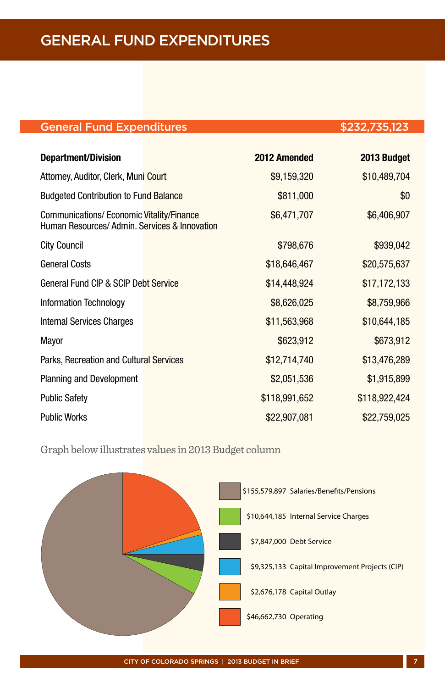## General Fund Expenditures \$232,735,123

| <b>Department/Division</b>                                                                | 2012 Amended  | 2013 Budget   |
|-------------------------------------------------------------------------------------------|---------------|---------------|
| Attorney, Auditor, Clerk, Muni Court                                                      | \$9,159,320   | \$10,489,704  |
| <b>Budgeted Contribution to Fund Balance</b>                                              | \$811,000     | \$0           |
| Communications/ Economic Vitality/Finance<br>Human Resources/Admin, Services & Innovation | \$6,471,707   | \$6,406,907   |
| <b>City Council</b>                                                                       | \$798,676     | \$939,042     |
| <b>General Costs</b>                                                                      | \$18,646,467  | \$20,575,637  |
| General Fund CIP & SCIP Debt Service                                                      | \$14,448,924  | \$17,172,133  |
| Information Technology                                                                    | \$8,626,025   | \$8,759,966   |
| Internal Services Charges                                                                 | \$11,563,968  | \$10,644,185  |
| Mayor                                                                                     | \$623,912     | \$673,912     |
| Parks, Recreation and Cultural Services                                                   | \$12,714,740  | \$13,476,289  |
| <b>Planning and Development</b>                                                           | \$2,051,536   | \$1,915,899   |
| <b>Public Safety</b>                                                                      | \$118,991,652 | \$118,922,424 |
| <b>Public Works</b>                                                                       | \$22,907,081  | \$22,759,025  |

Graph below illustrates values in 2013 Budget column

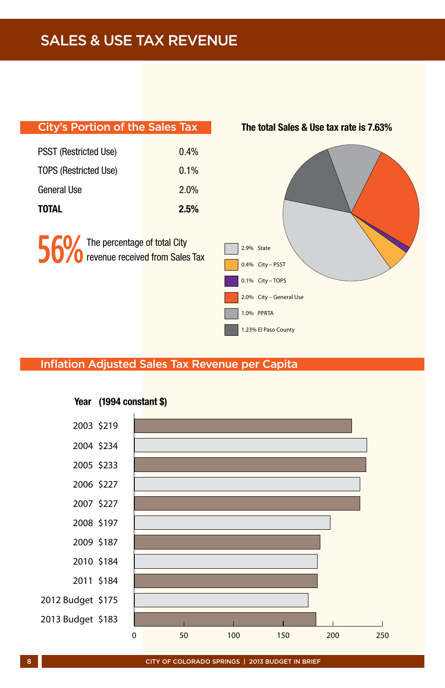| <b>City's Portion of the Sales Tax</b> |                                 | The total Sales & Use tax rate is 7.63%                                                                             |
|----------------------------------------|---------------------------------|---------------------------------------------------------------------------------------------------------------------|
| <b>PSST (Restricted Use)</b>           | 0.4%                            |                                                                                                                     |
| <b>TOPS (Restricted Use)</b>           | 0.1%                            |                                                                                                                     |
| General Use                            | 2.0%                            |                                                                                                                     |
| <b>TOTAL</b>                           | 2.5%                            |                                                                                                                     |
| The percentage of total City           | revenue received from Sales Tax | 2.9% State<br>0.4% City - PSST<br>0.1% City - TOPS<br>2.0% City - General Use<br>1.0% PPRTA<br>1.23% El Paso County |

## Inflation Adjusted Sales Tax Revenue per Capita



#### Year (1994 constant \$)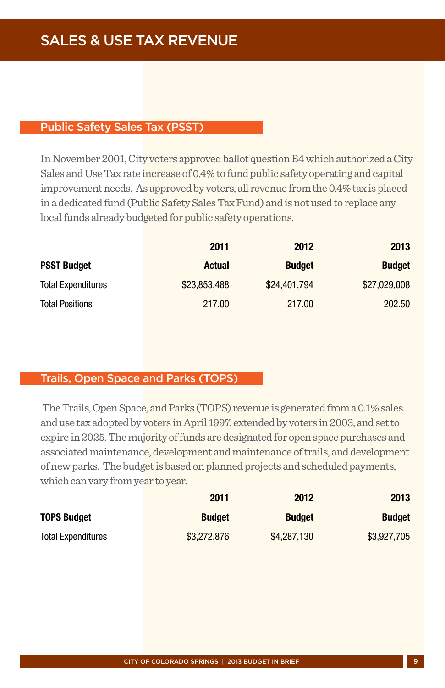#### Public Safety Sales Tax (PSST)

In November 2001, City voters approved ballot question B4 which authorized a City Sales and Use Tax rate increase of 0.4% to fund public safety operating and capital improvement needs. As approved by voters, all revenue from the 0.4% tax is placed in a dedicated fund (Public Safety Sales Tax Fund) and is not used to replace any local funds already budgeted for public safety operations.

|                           | 2011          | 2012          | 2013          |
|---------------------------|---------------|---------------|---------------|
| <b>PSST Budget</b>        | <b>Actual</b> | <b>Budget</b> | <b>Budget</b> |
| <b>Total Expenditures</b> | \$23,853,488  | \$24,401.794  | \$27,029,008  |
| <b>Total Positions</b>    | 217.00        | 217.00        | 202.50        |

#### Trails, Open Space and Parks (TOPS)

 The Trails, Open Space, and Parks (TOPS) revenue is generated from a 0.1% sales and use tax adopted by voters in April 1997, extended by voters in 2003, and set to expire in 2025. The majority of funds are designated for open space purchases and associated maintenance, development and maintenance of trails, and development of new parks. The budget is based on planned projects and scheduled payments, which can vary from year to year.

|                           | 2011          | 2012          | 2013          |
|---------------------------|---------------|---------------|---------------|
| <b>TOPS Budget</b>        | <b>Budget</b> | <b>Budget</b> | <b>Budget</b> |
| <b>Total Expenditures</b> | \$3,272,876   | \$4,287,130   | \$3,927,705   |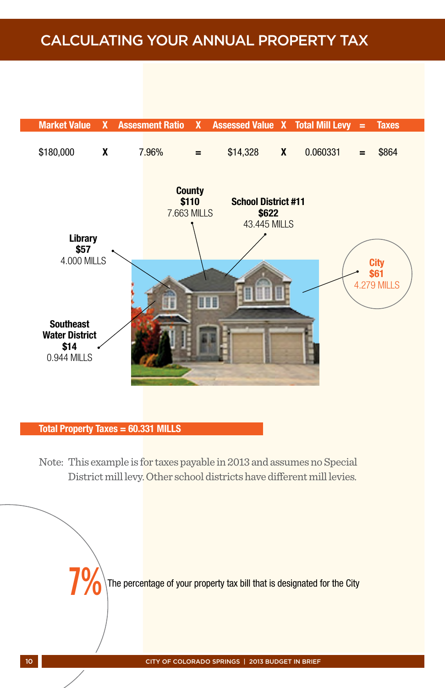# Calculating Your Annual Property Tax



#### Total Property Taxes = 60.331 MILLS

Note: This example is for taxes payable in 2013 and assumes no Special District mill levy. Other school districts have different mill levies.

The percentage of your property tax bill that is designated for the City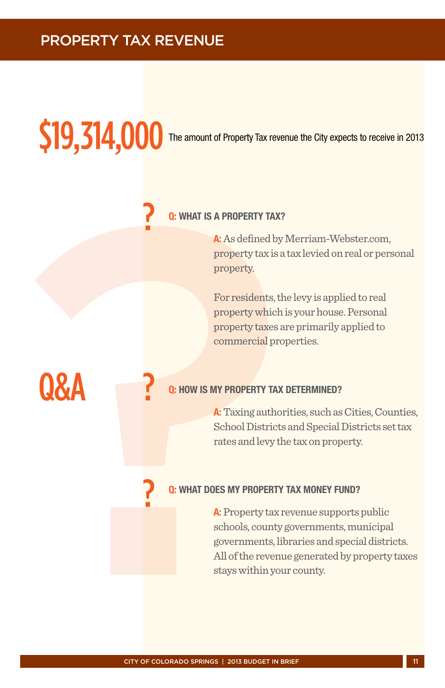# Property Tax revenue

# \$19,314,000

The amount of Property Tax revenue the City expects to receive in 2013

#### Q: What is a property tax?

A: As defined by Merriam-Webster.com, property tax is a tax levied on real or personal property.

For residents, the levy is applied to real property which is your house. Personal property taxes are primarily applied to commercial properties.

?

?

?

Q&A

#### **O: HOW IS MY PROPERTY TAX DETERMINED?**

A: Taxing authorities, such as Cities, Counties, School Districts and Special Districts set tax rates and levy the tax on property.

#### WHAT DOES MY PROPERTY TAX MONEY FUND?

? A: Property tax revenue supports public schools, county governments, municipal governments, libraries and special districts. All of the revenue generated by property taxes stays within your county.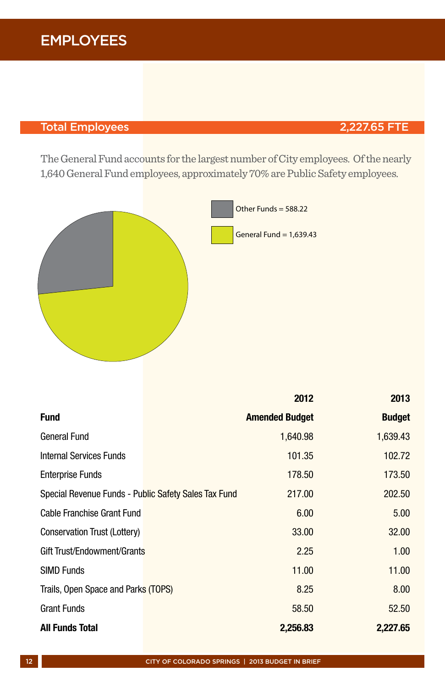# EMPLOYEES

## Total Employees 2,227.65 FTE

The General Fund accounts for the largest number of City employees. Of the nearly 1,640 General Fund employees, approximately 70% are Public Safety employees.



|                                                      | 2012                  | 2013          |
|------------------------------------------------------|-----------------------|---------------|
| <b>Fund</b>                                          | <b>Amended Budget</b> | <b>Budget</b> |
| General Fund                                         | 1,640.98              | 1,639.43      |
| Internal Services Funds                              | 101.35                | 102.72        |
| <b>Enterprise Funds</b>                              | 178.50                | 173.50        |
| Special Revenue Funds - Public Safety Sales Tax Fund | 217.00                | 202.50        |
| Cable Franchise Grant Fund                           | 6.00                  | 5.00          |
| Conservation Trust (Lottery)                         | 33.00                 | 32.00         |
| Gift Trust/Endowment/Grants                          | 2.25                  | 1.00          |
| <b>SIMD Funds</b>                                    | 11.00                 | 11.00         |
| Trails, Open Space and Parks (TOPS)                  | 8.25                  | 8.00          |
| <b>Grant Funds</b>                                   | 58.50                 | 52.50         |
| <b>All Funds Total</b>                               | 2,256.83              | 2,227.65      |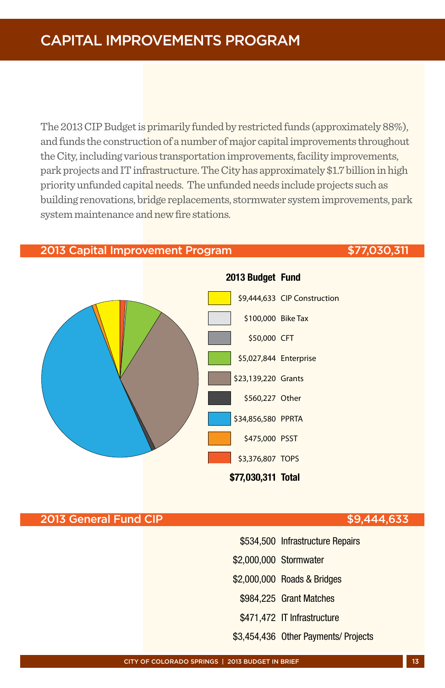# Capital Improvements Program

The 2013 CIP Budget is primarily funded by restricted funds (approximately 88%), and funds the construction of a number of major capital improvements throughout the City, including various transportation improvements, facility improvements, park projects and IT infrastructure. The City has approximately \$1.7 billion in high priority unfunded capital needs. The unfunded needs include projects such as building renovations, bridge replacements, stormwater system improvements, park system maintenance and new fire stations.

#### 2013 Capital Improvement Program **\$77,030,311**



#### 2013 General Fund CIP **\$9,444,633**

- \$534,500 Infrastructure Repairs
- \$2,000,000 Stormwater
- \$2,000,000 Roads & Bridges
- \$984,225 Grant Matches
- \$471,472 IT Infrastructure
- \$3,454,436 Other Payments/ Projects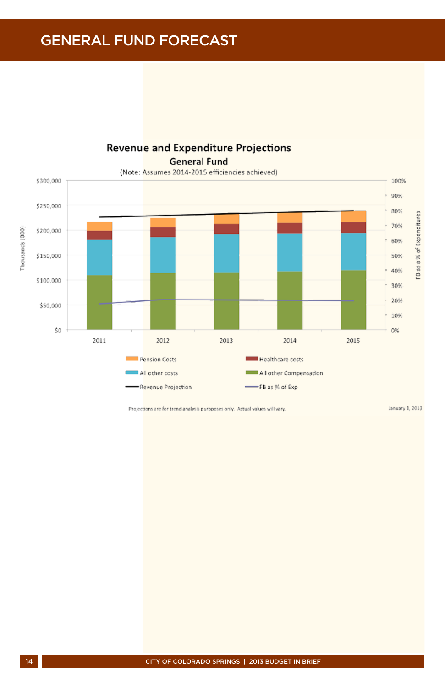General Fund Forecast



**Revenue and Expenditure Projections General Fund** 

Projections are for trend analysis purpposes only. Actual values will vary.

January 1, 2013

Thousands (000)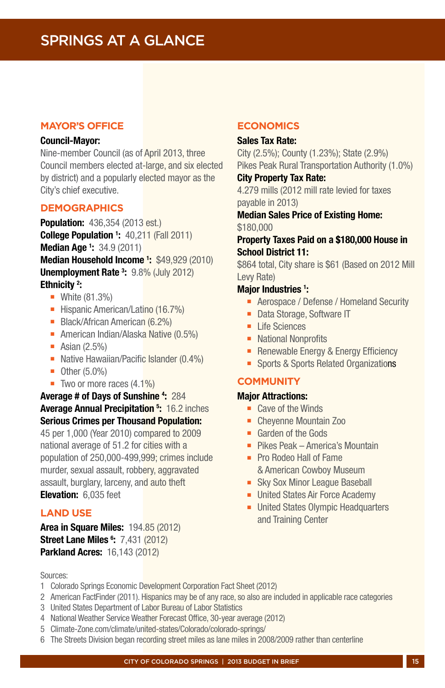#### **Mayor's Office**

#### Council-Mayor:

Nine-member Council (as of April 2013, three Council members elected at-large, and six elected by district) and a popularly elected mayor as the City's chief executive.

#### **DEMOGRAPHICS**

**Population:** 436,354 (2013 est.) **College Population 1: 40,211 (Fall 2011) Median Age 1: 34.9 (2011)** Median Household Income<sup>1</sup>: \$49,929 (2010) Unemployment Rate<sup>3</sup>: 9.8% (July 2012)

#### Ethnicity<sup>2</sup>:

- $\blacksquare$  White (81.3%)
- Hispanic American/Latino (16.7%)
- Black/African American (6.2%)
- American Indian/Alaska Native (0.5%)
- $\blacksquare$  Asian (2.5%)
- Native Hawaiian/Pacific Islander (0.4%)
- $\blacksquare$  Other (5.0%)
- $\blacksquare$  Two or more races (4.1%)

Average # of Days of Sunshine 4: 284 Average Annual Precipitation <sup>5</sup>: 16.2 inches Serious Crimes per Thousand Population: 45 per 1,000 (Year 2010) compared to 2009 national average of 51.2 for cities with a population of 250,000-499,999; crimes include murder, sexual assault, robbery, aggravated assault, burglary, larceny, and auto theft Elevation: 6.035 feet

#### **LAND USE**

**Area in Square Miles: 194.85 (2012) Street Lane Miles 6: 7,431 (2012) Parkland Acres: 16,143 (2012)** 

#### **ECONOMICS**

#### Sales Tax Rate:

City (2.5%); County (1.23%); State (2.9%) Pikes Peak Rural Transportation Authority (1.0%)

#### City Property Tax Rate:

4.279 mills (2012 mill rate levied for taxes payable in 2013)

#### Median Sales Price of Existing Home: \$180,000

#### Property Taxes Paid on a \$180,000 House in School District 11:

\$864 total, City share is \$61 (Based on 2012 Mill Levy Rate)

#### Major Industries <sup>1</sup>:

- Aerospace / Defense / Homeland Security
- **-** Data Storage, Software IT
- $\blacksquare$  Life Sciences
- National Nonprofits
- **-** Renewable Energy & Energy Efficiency
- **n** Sports & Sports Related Organizations

#### **COMMUNITY**

#### Major Attractions:

- $\blacksquare$  Cave of the Winds
- Chevenne Mountain Zoo
- **E** Garden of the Gods
- **Pikes Peak America's Mountain**
- Pro Rodeo Hall of Fame & American Cowboy Museum
- **Example 3 Sky Sox Minor League Baseball**
- **E** United States Air Force Academy
- United States Olympic Headquarters and Training Center

- Sources:
- 1 Colorado Springs Economic Development Corporation Fact Sheet (2012)
- 2 American FactFinder (2011). Hispanics may be of any race, so also are included in applicable race categories
- 3 United States Department of Labor Bureau of Labor Statistics
- 4 National Weather Service Weather Forecast Office, 30-year average (2012)
- 5 Climate-Zone.com/climate/united-states/Colorado/colorado-springs/
- 6 The Streets Division began recording street miles as lane miles in 2008/2009 rather than centerline